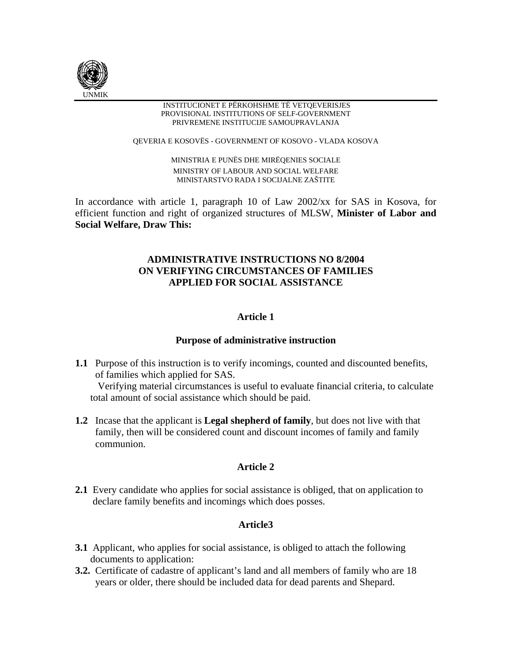

#### INSTITUCIONET E PËRKOHSHME TË VETQEVERISJES PROVISIONAL INSTITUTIONS OF SELF-GOVERNMENT PRIVREMENE INSTITUCIJE SAMOUPRAVLANJA

QEVERIA E KOSOVËS - GOVERNMENT OF KOSOVO - VLADA KOSOVA

MINISTRIA E PUNËS DHE MIRËQENIES SOCIALE MINISTRY OF LABOUR AND SOCIAL WELFARE MINISTARSTVO RADA I SOCIJALNE ZAŠTITE

In accordance with article 1, paragraph 10 of Law 2002/xx for SAS in Kosova, for efficient function and right of organized structures of MLSW, **Minister of Labor and Social Welfare, Draw This:** 

# **ADMINISTRATIVE INSTRUCTIONS NO 8/2004 ON VERIFYING CIRCUMSTANCES OF FAMILIES APPLIED FOR SOCIAL ASSISTANCE**

# **Article 1**

# **Purpose of administrative instruction**

**1.1** Purpose of this instruction is to verify incomings, counted and discounted benefits, of families which applied for SAS.

 Verifying material circumstances is useful to evaluate financial criteria, to calculate total amount of social assistance which should be paid.

**1.2** Incase that the applicant is **Legal shepherd of family**, but does not live with that family, then will be considered count and discount incomes of family and family communion.

# **Article 2**

**2.1** Every candidate who applies for social assistance is obliged, that on application to declare family benefits and incomings which does posses.

# **Article3**

- **3.1** Applicant, who applies for social assistance, is obliged to attach the following documents to application:
- **3.2.** Certificate of cadastre of applicant's land and all members of family who are 18 years or older, there should be included data for dead parents and Shepard.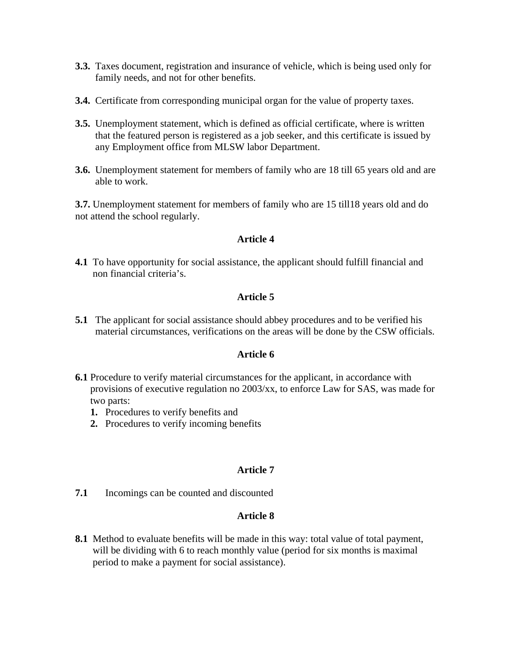- **3.3.** Taxes document, registration and insurance of vehicle, which is being used only for family needs, and not for other benefits.
- **3.4.** Certificate from corresponding municipal organ for the value of property taxes.
- **3.5.** Unemployment statement, which is defined as official certificate, where is written that the featured person is registered as a job seeker, and this certificate is issued by any Employment office from MLSW labor Department.
- **3.6.** Unemployment statement for members of family who are 18 till 65 years old and are able to work.

**3.7.** Unemployment statement for members of family who are 15 till18 years old and do not attend the school regularly.

## **Article 4**

**4.1** To have opportunity for social assistance, the applicant should fulfill financial and non financial criteria's.

#### **Article 5**

**5.1** The applicant for social assistance should abbey procedures and to be verified his material circumstances, verifications on the areas will be done by the CSW officials.

### **Article 6**

- **6.1** Procedure to verify material circumstances for the applicant, in accordance with provisions of executive regulation no 2003/xx, to enforce Law for SAS, was made for two parts:
	- **1.** Procedures to verify benefits and
	- **2.** Procedures to verify incoming benefits

#### **Article 7**

**7.1** Incomings can be counted and discounted

## **Article 8**

**8.1** Method to evaluate benefits will be made in this way: total value of total payment, will be dividing with 6 to reach monthly value (period for six months is maximal period to make a payment for social assistance).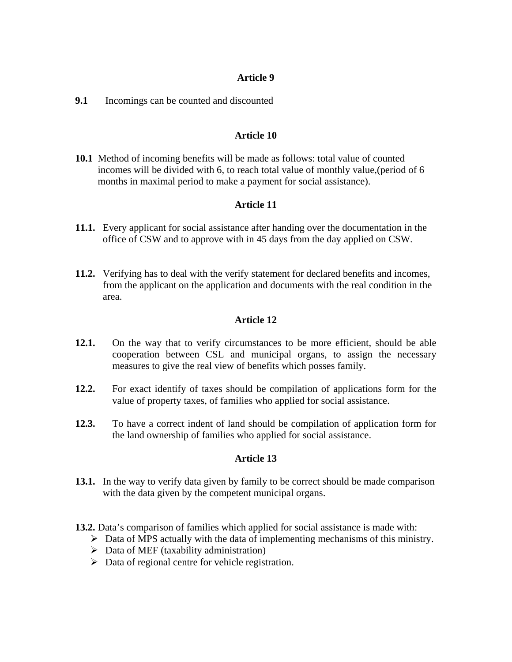# **Article 9**

# **9.1** Incomings can be counted and discounted

# **Article 10**

**10.1** Method of incoming benefits will be made as follows: total value of counted incomes will be divided with 6, to reach total value of monthly value,(period of 6 months in maximal period to make a payment for social assistance).

# **Article 11**

- **11.1.** Every applicant for social assistance after handing over the documentation in the office of CSW and to approve with in 45 days from the day applied on CSW.
- **11.2.** Verifying has to deal with the verify statement for declared benefits and incomes, from the applicant on the application and documents with the real condition in the area.

# **Article 12**

- **12.1.** On the way that to verify circumstances to be more efficient, should be able cooperation between CSL and municipal organs, to assign the necessary measures to give the real view of benefits which posses family.
- **12.2.** For exact identify of taxes should be compilation of applications form for the value of property taxes, of families who applied for social assistance.
- **12.3.** To have a correct indent of land should be compilation of application form for the land ownership of families who applied for social assistance.

## **Article 13**

- **13.1.** In the way to verify data given by family to be correct should be made comparison with the data given by the competent municipal organs.
- **13.2.** Data's comparison of families which applied for social assistance is made with:
	- $\triangleright$  Data of MPS actually with the data of implementing mechanisms of this ministry.
	- $\triangleright$  Data of MEF (taxability administration)
	- $\triangleright$  Data of regional centre for vehicle registration.